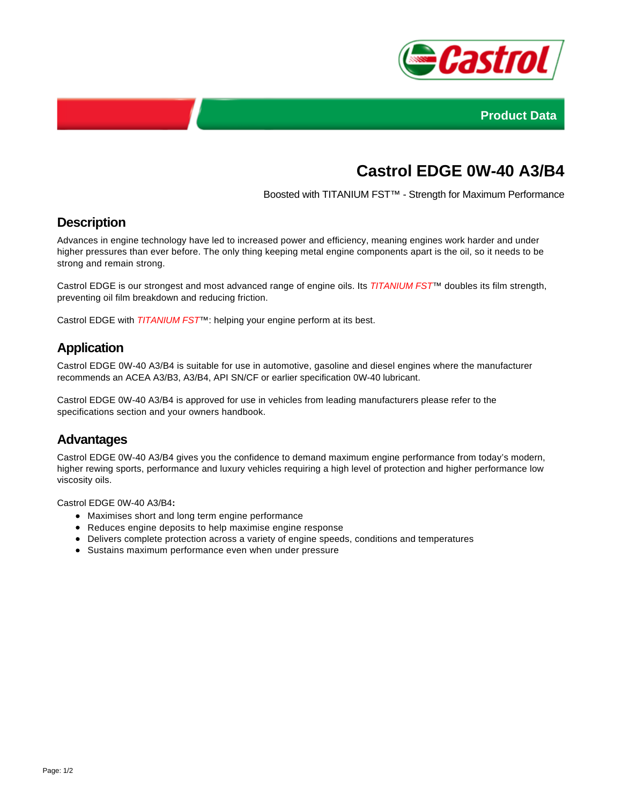



# **Castrol EDGE 0W-40 A3/B4**

Boosted with TITANIUM FST™ - Strength for Maximum Performance

## **Description**

Advances in engine technology have led to increased power and efficiency, meaning engines work harder and under higher pressures than ever before. The only thing keeping metal engine components apart is the oil, so it needs to be strong and remain strong.

Castrol EDGE is our strongest and most advanced range of engine oils. Its TITANIUM FST<sup>™</sup> doubles its film strength, preventing oil film breakdown and reducing friction.

Castrol EDGE with TITANIUM FST<sup>™</sup>: helping your engine perform at its best.

### **Application**

Castrol EDGE 0W-40 A3/B4 is suitable for use in automotive, gasoline and diesel engines where the manufacturer recommends an ACEA A3/B3, A3/B4, API SN/CF or earlier specification 0W-40 lubricant.

Castrol EDGE 0W-40 A3/B4 is approved for use in vehicles from leading manufacturers please refer to the specifications section and your owners handbook.

#### **Advantages**

Castrol EDGE 0W-40 A3/B4 gives you the confidence to demand maximum engine performance from today's modern, higher rewing sports, performance and luxury vehicles requiring a high level of protection and higher performance low viscosity oils.

Castrol EDGE 0W-40 A3/B4**:**

- Maximises short and long term engine performance
- Reduces engine deposits to help maximise engine response
- Delivers complete protection across a variety of engine speeds, conditions and temperatures
- Sustains maximum performance even when under pressure